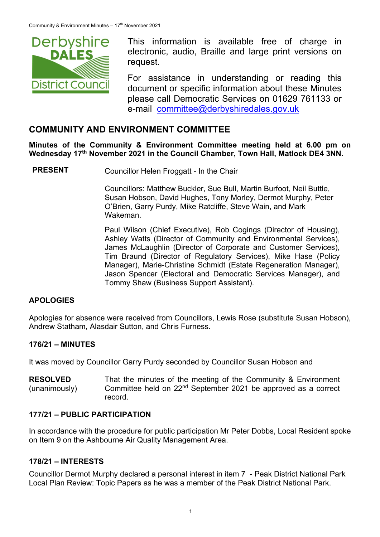

This information is available free of charge in electronic, audio, Braille and large print versions on request.

For assistance in understanding or reading this document or specific information about these Minutes please call Democratic Services on 01629 761133 or e-mail committee@derbyshiredales.gov.uk

## **COMMUNITY AND ENVIRONMENT COMMITTEE**

**Minutes of the Community & Environment Committee meeting held at 6.00 pm on**  Wednesday 17<sup>th</sup> November 2021 in the Council Chamber, Town Hall, Matlock DE4 3NN.

**PRESENT** Councillor Helen Froggatt - In the Chair

 Councillors: Matthew Buckler, Sue Bull, Martin Burfoot, Neil Buttle, Susan Hobson, David Hughes, Tony Morley, Dermot Murphy, Peter O'Brien, Garry Purdy, Mike Ratcliffe, Steve Wain, and Mark Wakeman.

Paul Wilson (Chief Executive), Rob Cogings (Director of Housing), Ashley Watts (Director of Community and Environmental Services), James McLaughlin (Director of Corporate and Customer Services), Tim Braund (Director of Regulatory Services), Mike Hase (Policy Manager), Marie-Christine Schmidt (Estate Regeneration Manager), Jason Spencer (Electoral and Democratic Services Manager), and Tommy Shaw (Business Support Assistant).

### **APOLOGIES**

Apologies for absence were received from Councillors, Lewis Rose (substitute Susan Hobson), Andrew Statham, Alasdair Sutton, and Chris Furness.

### **176/21 – MINUTES**

It was moved by Councillor Garry Purdy seconded by Councillor Susan Hobson and

**RESOLVED**  (unanimously) That the minutes of the meeting of the Community & Environment Committee held on 22nd September 2021 be approved as a correct record.

#### **177/21 – PUBLIC PARTICIPATION**

In accordance with the procedure for public participation Mr Peter Dobbs, Local Resident spoke on Item 9 on the Ashbourne Air Quality Management Area.

#### **178/21 – INTERESTS**

Councillor Dermot Murphy declared a personal interest in item 7 - Peak District National Park Local Plan Review: Topic Papers as he was a member of the Peak District National Park.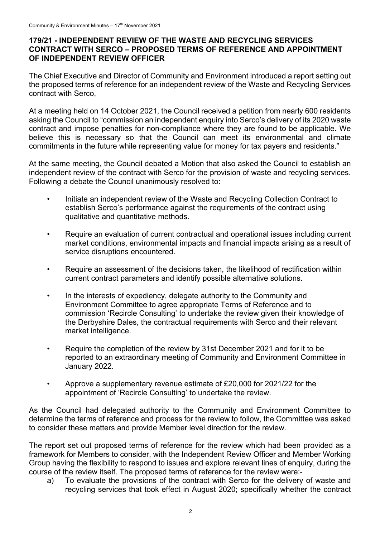#### **179/21 - INDEPENDENT REVIEW OF THE WASTE AND RECYCLING SERVICES CONTRACT WITH SERCO – PROPOSED TERMS OF REFERENCE AND APPOINTMENT OF INDEPENDENT REVIEW OFFICER**

The Chief Executive and Director of Community and Environment introduced a report setting out the proposed terms of reference for an independent review of the Waste and Recycling Services contract with Serco,

At a meeting held on 14 October 2021, the Council received a petition from nearly 600 residents asking the Council to "commission an independent enquiry into Serco's delivery of its 2020 waste contract and impose penalties for non-compliance where they are found to be applicable. We believe this is necessary so that the Council can meet its environmental and climate commitments in the future while representing value for money for tax payers and residents."

At the same meeting, the Council debated a Motion that also asked the Council to establish an independent review of the contract with Serco for the provision of waste and recycling services. Following a debate the Council unanimously resolved to:

- Initiate an independent review of the Waste and Recycling Collection Contract to establish Serco's performance against the requirements of the contract using qualitative and quantitative methods.
- Require an evaluation of current contractual and operational issues including current market conditions, environmental impacts and financial impacts arising as a result of service disruptions encountered.
- Require an assessment of the decisions taken, the likelihood of rectification within current contract parameters and identify possible alternative solutions.
- In the interests of expediency, delegate authority to the Community and Environment Committee to agree appropriate Terms of Reference and to commission 'Recircle Consulting' to undertake the review given their knowledge of the Derbyshire Dales, the contractual requirements with Serco and their relevant market intelligence.
- Require the completion of the review by 31st December 2021 and for it to be reported to an extraordinary meeting of Community and Environment Committee in January 2022.
- Approve a supplementary revenue estimate of £20,000 for 2021/22 for the appointment of 'Recircle Consulting' to undertake the review.

As the Council had delegated authority to the Community and Environment Committee to determine the terms of reference and process for the review to follow, the Committee was asked to consider these matters and provide Member level direction for the review.

The report set out proposed terms of reference for the review which had been provided as a framework for Members to consider, with the Independent Review Officer and Member Working Group having the flexibility to respond to issues and explore relevant lines of enquiry, during the course of the review itself. The proposed terms of reference for the review were:-

a) To evaluate the provisions of the contract with Serco for the delivery of waste and recycling services that took effect in August 2020; specifically whether the contract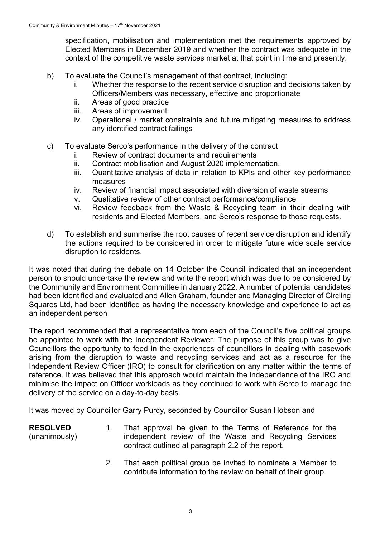specification, mobilisation and implementation met the requirements approved by Elected Members in December 2019 and whether the contract was adequate in the context of the competitive waste services market at that point in time and presently.

- b) To evaluate the Council's management of that contract, including:
	- i. Whether the response to the recent service disruption and decisions taken by Officers/Members was necessary, effective and proportionate
	- ii. Areas of good practice
	- iii. Areas of improvement
	- iv. Operational / market constraints and future mitigating measures to address any identified contract failings
- c) To evaluate Serco's performance in the delivery of the contract
	- i. Review of contract documents and requirements
	- ii. Contract mobilisation and August 2020 implementation.
	- iii. Quantitative analysis of data in relation to KPIs and other key performance measures
	- iv. Review of financial impact associated with diversion of waste streams
	- v. Qualitative review of other contract performance/compliance
	- vi. Review feedback from the Waste & Recycling team in their dealing with residents and Elected Members, and Serco's response to those requests.
- d) To establish and summarise the root causes of recent service disruption and identify the actions required to be considered in order to mitigate future wide scale service disruption to residents.

It was noted that during the debate on 14 October the Council indicated that an independent person to should undertake the review and write the report which was due to be considered by the Community and Environment Committee in January 2022. A number of potential candidates had been identified and evaluated and Allen Graham, founder and Managing Director of Circling Squares Ltd, had been identified as having the necessary knowledge and experience to act as an independent person

The report recommended that a representative from each of the Council's five political groups be appointed to work with the Independent Reviewer. The purpose of this group was to give Councillors the opportunity to feed in the experiences of councillors in dealing with casework arising from the disruption to waste and recycling services and act as a resource for the Independent Review Officer (IRO) to consult for clarification on any matter within the terms of reference. It was believed that this approach would maintain the independence of the IRO and minimise the impact on Officer workloads as they continued to work with Serco to manage the delivery of the service on a day-to-day basis.

It was moved by Councillor Garry Purdy, seconded by Councillor Susan Hobson and

- **RESOLVED**  (unanimously) 1. That approval be given to the Terms of Reference for the independent review of the Waste and Recycling Services contract outlined at paragraph 2.2 of the report.
	- 2. That each political group be invited to nominate a Member to contribute information to the review on behalf of their group.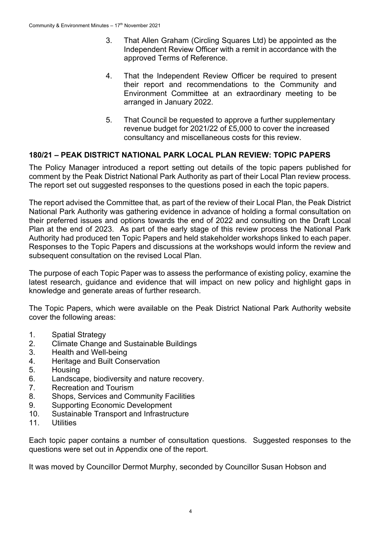- 3. That Allen Graham (Circling Squares Ltd) be appointed as the Independent Review Officer with a remit in accordance with the approved Terms of Reference.
- 4. That the Independent Review Officer be required to present their report and recommendations to the Community and Environment Committee at an extraordinary meeting to be arranged in January 2022.
- 5. That Council be requested to approve a further supplementary revenue budget for 2021/22 of £5,000 to cover the increased consultancy and miscellaneous costs for this review.

### **180/21 – PEAK DISTRICT NATIONAL PARK LOCAL PLAN REVIEW: TOPIC PAPERS**

The Policy Manager introduced a report setting out details of the topic papers published for comment by the Peak District National Park Authority as part of their Local Plan review process. The report set out suggested responses to the questions posed in each the topic papers.

The report advised the Committee that, as part of the review of their Local Plan, the Peak District National Park Authority was gathering evidence in advance of holding a formal consultation on their preferred issues and options towards the end of 2022 and consulting on the Draft Local Plan at the end of 2023. As part of the early stage of this review process the National Park Authority had produced ten Topic Papers and held stakeholder workshops linked to each paper. Responses to the Topic Papers and discussions at the workshops would inform the review and subsequent consultation on the revised Local Plan.

The purpose of each Topic Paper was to assess the performance of existing policy, examine the latest research, guidance and evidence that will impact on new policy and highlight gaps in knowledge and generate areas of further research.

The Topic Papers, which were available on the Peak District National Park Authority website cover the following areas:

- 1. Spatial Strategy
- 2. Climate Change and Sustainable Buildings
- 3. Health and Well-being
- 4. Heritage and Built Conservation
- 5. Housing
- 6. Landscape, biodiversity and nature recovery.
- 7. Recreation and Tourism
- 8. Shops, Services and Community Facilities
- 9. Supporting Economic Development
- 10. Sustainable Transport and Infrastructure
- 11 Utilities

Each topic paper contains a number of consultation questions. Suggested responses to the questions were set out in Appendix one of the report.

It was moved by Councillor Dermot Murphy, seconded by Councillor Susan Hobson and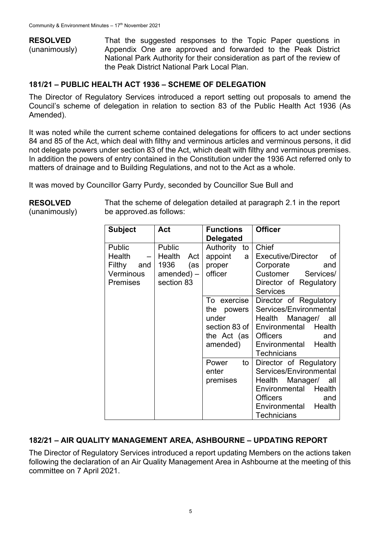**RESOLVED**  (unanimously) That the suggested responses to the Topic Paper questions in Appendix One are approved and forwarded to the Peak District National Park Authority for their consideration as part of the review of the Peak District National Park Local Plan.

### **181/21 – PUBLIC HEALTH ACT 1936 – SCHEME OF DELEGATION**

The Director of Regulatory Services introduced a report setting out proposals to amend the Council's scheme of delegation in relation to section 83 of the Public Health Act 1936 (As Amended).

It was noted while the current scheme contained delegations for officers to act under sections 84 and 85 of the Act, which deal with filthy and verminous articles and verminous persons, it did not delegate powers under section 83 of the Act, which dealt with filthy and verminous premises. In addition the powers of entry contained in the Constitution under the 1936 Act referred only to matters of drainage and to Building Regulations, and not to the Act as a whole.

It was moved by Councillor Garry Purdy, seconded by Councillor Sue Bull and

| <b>Subject</b>                                                               | Act                                                                    | <b>Functions</b><br><b>Delegated</b>                              | <b>Officer</b>                                                                                                                                                                          |
|------------------------------------------------------------------------------|------------------------------------------------------------------------|-------------------------------------------------------------------|-----------------------------------------------------------------------------------------------------------------------------------------------------------------------------------------|
| <b>Public</b><br><b>Health</b><br>Filthy and<br>Verminous<br><b>Premises</b> | Public<br>$-$ Health<br>Act<br>1936<br>(as<br>amended) –<br>section 83 | Authority<br>to<br>appoint<br>a <sub>l</sub><br>proper<br>officer | Chief<br>Executive/Director<br>് റf<br>Corporate<br>and<br>Customer Services/<br>Director of Regulatory<br><b>Services</b>                                                              |
|                                                                              |                                                                        | To exercise<br>the powers<br>under<br>the Act $(as)$<br>amended)  | Director of Regulatory<br>Services/Environmental<br>Health Manager/ all<br>section 83 of   Environmental Health<br><b>Officers</b><br>and<br>Environmental Health<br><b>Technicians</b> |
|                                                                              |                                                                        | to<br>Power<br>enter<br>premises                                  | Director of Regulatory<br>Services/Environmental<br>Health Manager/ all<br>Environmental Health<br><b>Officers</b><br>and<br>Environmental Health<br><b>Technicians</b>                 |

**RESOLVED** 

(unanimously)

That the scheme of delegation detailed at paragraph 2.1 in the report be approved.as follows:

### **182/21 – AIR QUALITY MANAGEMENT AREA, ASHBOURNE – UPDATING REPORT**

The Director of Regulatory Services introduced a report updating Members on the actions taken following the declaration of an Air Quality Management Area in Ashbourne at the meeting of this committee on 7 April 2021.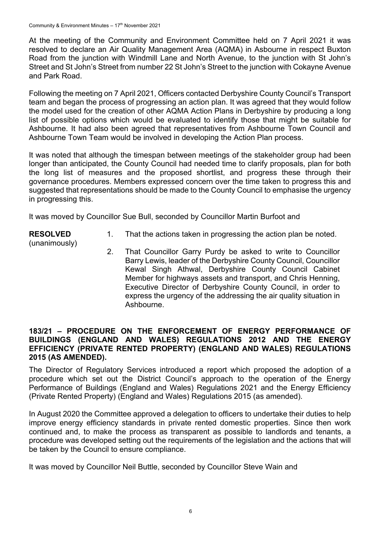At the meeting of the Community and Environment Committee held on 7 April 2021 it was resolved to declare an Air Quality Management Area (AQMA) in Asbourne in respect Buxton Road from the junction with Windmill Lane and North Avenue, to the junction with St John's Street and St John's Street from number 22 St John's Street to the junction with Cokayne Avenue and Park Road.

Following the meeting on 7 April 2021, Officers contacted Derbyshire County Council's Transport team and began the process of progressing an action plan. It was agreed that they would follow the model used for the creation of other AQMA Action Plans in Derbyshire by producing a long list of possible options which would be evaluated to identify those that might be suitable for Ashbourne. It had also been agreed that representatives from Ashbourne Town Council and Ashbourne Town Team would be involved in developing the Action Plan process.

It was noted that although the timespan between meetings of the stakeholder group had been longer than anticipated, the County Council had needed time to clarify proposals, plan for both the long list of measures and the proposed shortlist, and progress these through their governance procedures. Members expressed concern over the time taken to progress this and suggested that representations should be made to the County Council to emphasise the urgency in progressing this.

It was moved by Councillor Sue Bull, seconded by Councillor Martin Burfoot and

- **RESOLVED**  (unanimously)
- 1. That the actions taken in progressing the action plan be noted.
- 2. That Councillor Garry Purdy be asked to write to Councillor Barry Lewis, leader of the Derbyshire County Council, Councillor Kewal Singh Athwal, Derbyshire County Council Cabinet Member for highways assets and transport, and Chris Henning, Executive Director of Derbyshire County Council, in order to express the urgency of the addressing the air quality situation in Ashbourne.

### **183/21 – PROCEDURE ON THE ENFORCEMENT OF ENERGY PERFORMANCE OF BUILDINGS (ENGLAND AND WALES) REGULATIONS 2012 AND THE ENERGY EFFICIENCY (PRIVATE RENTED PROPERTY) (ENGLAND AND WALES) REGULATIONS 2015 (AS AMENDED).**

The Director of Regulatory Services introduced a report which proposed the adoption of a procedure which set out the District Council's approach to the operation of the Energy Performance of Buildings (England and Wales) Regulations 2021 and the Energy Efficiency (Private Rented Property) (England and Wales) Regulations 2015 (as amended).

In August 2020 the Committee approved a delegation to officers to undertake their duties to help improve energy efficiency standards in private rented domestic properties. Since then work continued and, to make the process as transparent as possible to landlords and tenants, a procedure was developed setting out the requirements of the legislation and the actions that will be taken by the Council to ensure compliance.

It was moved by Councillor Neil Buttle, seconded by Councillor Steve Wain and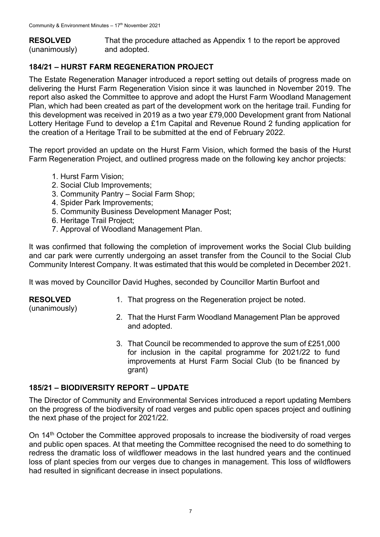**RESOLVED**  (unanimously) That the procedure attached as Appendix 1 to the report be approved and adopted.

# **184/21 – HURST FARM REGENERATION PROJECT**

The Estate Regeneration Manager introduced a report setting out details of progress made on delivering the Hurst Farm Regeneration Vision since it was launched in November 2019. The report also asked the Committee to approve and adopt the Hurst Farm Woodland Management Plan, which had been created as part of the development work on the heritage trail. Funding for this development was received in 2019 as a two year £79,000 Development grant from National Lottery Heritage Fund to develop a £1m Capital and Revenue Round 2 funding application for the creation of a Heritage Trail to be submitted at the end of February 2022.

The report provided an update on the Hurst Farm Vision, which formed the basis of the Hurst Farm Regeneration Project, and outlined progress made on the following key anchor projects:

- 1. Hurst Farm Vision;
- 2. Social Club Improvements;
- 3. Community Pantry Social Farm Shop;
- 4. Spider Park Improvements;
- 5. Community Business Development Manager Post;
- 6. Heritage Trail Project;
- 7. Approval of Woodland Management Plan.

It was confirmed that following the completion of improvement works the Social Club building and car park were currently undergoing an asset transfer from the Council to the Social Club Community Interest Company. It was estimated that this would be completed in December 2021.

It was moved by Councillor David Hughes, seconded by Councillor Martin Burfoot and

### **RESOLVED**

1. That progress on the Regeneration project be noted.

(unanimously)

- 2. That the Hurst Farm Woodland Management Plan be approved and adopted.
- 3. That Council be recommended to approve the sum of £251,000 for inclusion in the capital programme for 2021/22 to fund improvements at Hurst Farm Social Club (to be financed by grant)

## **185/21 – BIODIVERSITY REPORT – UPDATE**

The Director of Community and Environmental Services introduced a report updating Members on the progress of the biodiversity of road verges and public open spaces project and outlining the next phase of the project for 2021/22.

On 14<sup>th</sup> October the Committee approved proposals to increase the biodiversity of road verges and public open spaces. At that meeting the Committee recognised the need to do something to redress the dramatic loss of wildflower meadows in the last hundred years and the continued loss of plant species from our verges due to changes in management. This loss of wildflowers had resulted in significant decrease in insect populations.